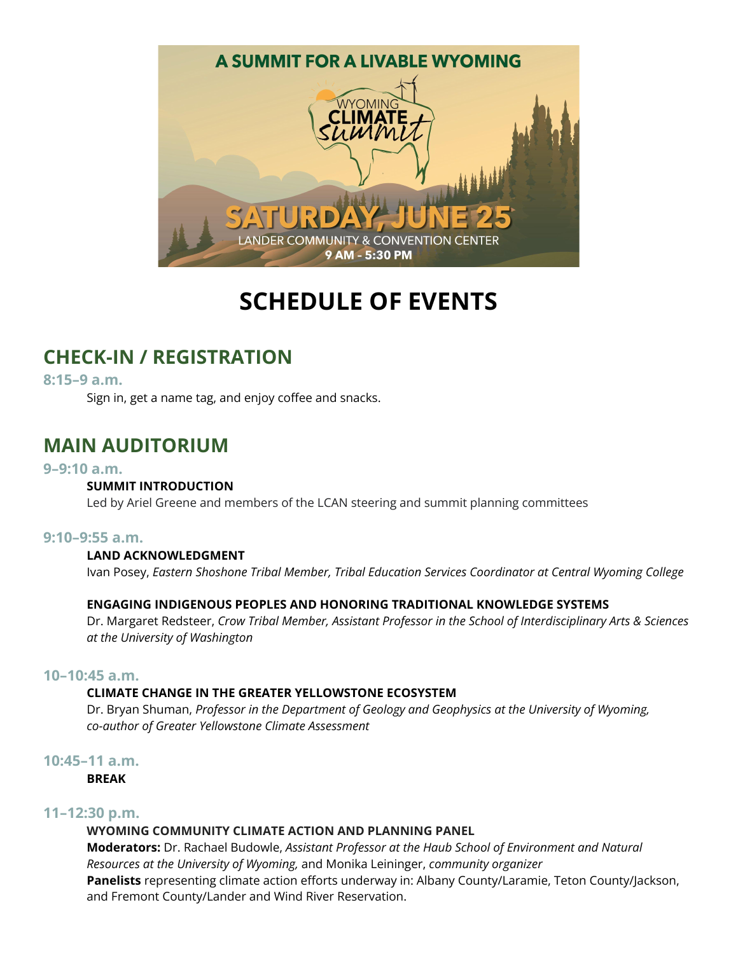

# **SCHEDULE OF EVENTS**

# **CHECK-IN / REGISTRATION**

**8:15–9 a.m.**

Sign in, get a name tag, and enjoy coffee and snacks.

# **MAIN AUDITORIUM**

#### **9–9:10 a.m.**

#### **SUMMIT INTRODUCTION**

Led by Ariel Greene and members of the LCAN steering and summit planning committees

#### **9:10–9:55 a.m.**

#### **LAND ACKNOWLEDGMENT**

Ivan Posey, *Eastern Shoshone Tribal Member, Tribal Education Services Coordinator at Central Wyoming College*

#### **ENGAGING INDIGENOUS PEOPLES AND HONORING TRADITIONAL KNOWLEDGE SYSTEMS**

Dr. Margaret Redsteer, *Crow Tribal Member, Assistant Professor in the School of Interdisciplinary Arts & Sciences at the University of Washington*

#### **10–10:45 a.m.**

#### **CLIMATE CHANGE IN THE GREATER YELLOWSTONE ECOSYSTEM**

Dr. Bryan Shuman, *Professor in the Department of Geology and Geophysics at the University of Wyoming, co-author of Greater Yellowstone Climate Assessment*

#### **10:45–11 a.m.**

**BREAK**

#### **11–12:30 p.m.**

#### **WYOMING COMMUNITY CLIMATE ACTION AND PLANNING PANEL**

**Moderators:** Dr. Rachael Budowle, *Assistant Professor at the Haub School of Environment and Natural Resources at the University of Wyoming,* and Monika Leininger, *community organizer* **Panelists** representing climate action efforts underway in: Albany County/Laramie, Teton County/Jackson, and Fremont County/Lander and Wind River Reservation.